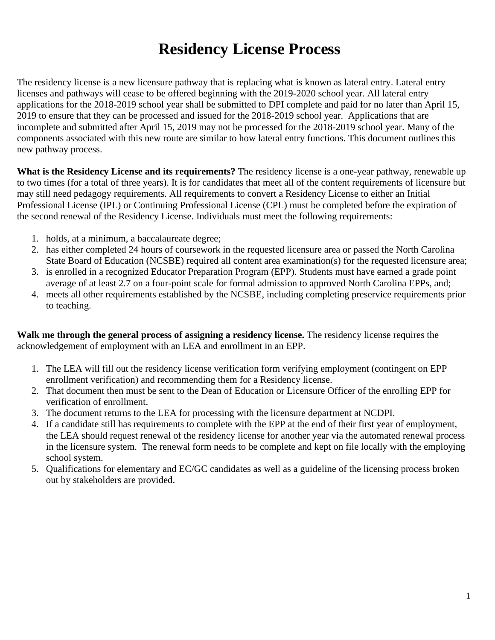## **Residency License Process**

The residency license is a new licensure pathway that is replacing what is known as lateral entry. Lateral entry licenses and pathways will cease to be offered beginning with the 2019-2020 school year. All lateral entry applications for the 2018-2019 school year shall be submitted to DPI complete and paid for no later than April 15, 2019 to ensure that they can be processed and issued for the 2018-2019 school year. Applications that are incomplete and submitted after April 15, 2019 may not be processed for the 2018-2019 school year. Many of the components associated with this new route are similar to how lateral entry functions. This document outlines this new pathway process.

**What is the Residency License and its requirements?** The residency license is a one-year pathway, renewable up to two times (for a total of three years). It is for candidates that meet all of the content requirements of licensure but may still need pedagogy requirements. All requirements to convert a Residency License to either an Initial Professional License (IPL) or Continuing Professional License (CPL) must be completed before the expiration of the second renewal of the Residency License. Individuals must meet the following requirements:

- 1. holds, at a minimum, a baccalaureate degree;
- 2. has either completed 24 hours of coursework in the requested licensure area or passed the North Carolina State Board of Education (NCSBE) required all content area examination(s) for the requested licensure area;
- 3. is enrolled in a recognized Educator Preparation Program (EPP). Students must have earned a grade point average of at least 2.7 on a four-point scale for formal admission to approved North Carolina EPPs, and;
- 4. meets all other requirements established by the NCSBE, including completing preservice requirements prior to teaching.

**Walk me through the general process of assigning a residency license.** The residency license requires the acknowledgement of employment with an LEA and enrollment in an EPP.

- 1. The LEA will fill out the residency license verification form verifying employment (contingent on EPP enrollment verification) and recommending them for a Residency license.
- 2. That document then must be sent to the Dean of Education or Licensure Officer of the enrolling EPP for verification of enrollment.
- 3. The document returns to the LEA for processing with the licensure department at NCDPI.
- 4. If a candidate still has requirements to complete with the EPP at the end of their first year of employment, the LEA should request renewal of the residency license for another year via the automated renewal process in the licensure system. The renewal form needs to be complete and kept on file locally with the employing school system.
- 5. Qualifications for elementary and EC/GC candidates as well as a guideline of the licensing process broken out by stakeholders are provided.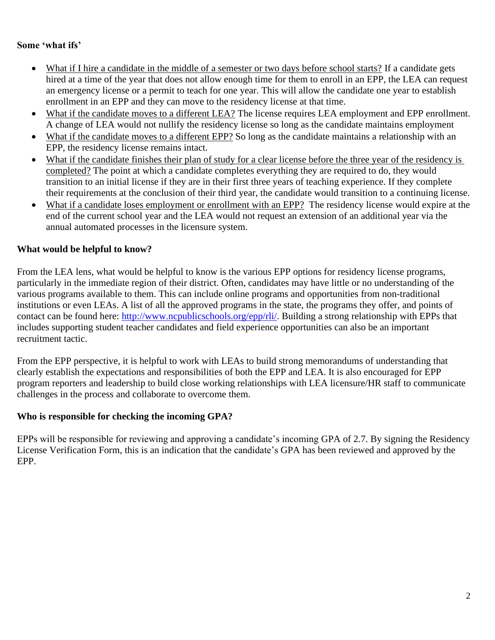#### **Some 'what ifs'**

- What if I hire a candidate in the middle of a semester or two days before school starts? If a candidate gets hired at a time of the year that does not allow enough time for them to enroll in an EPP, the LEA can request an emergency license or a permit to teach for one year. This will allow the candidate one year to establish enrollment in an EPP and they can move to the residency license at that time.
- What if the candidate moves to a different LEA? The license requires LEA employment and EPP enrollment. A change of LEA would not nullify the residency license so long as the candidate maintains employment
- What if the candidate moves to a different EPP? So long as the candidate maintains a relationship with an EPP, the residency license remains intact.
- What if the candidate finishes their plan of study for a clear license before the three year of the residency is completed? The point at which a candidate completes everything they are required to do, they would transition to an initial license if they are in their first three years of teaching experience. If they complete their requirements at the conclusion of their third year, the candidate would transition to a continuing license.
- What if a candidate loses employment or enrollment with an EPP? The residency license would expire at the end of the current school year and the LEA would not request an extension of an additional year via the annual automated processes in the licensure system.

#### **What would be helpful to know?**

From the LEA lens, what would be helpful to know is the various EPP options for residency license programs, particularly in the immediate region of their district. Often, candidates may have little or no understanding of the various programs available to them. This can include online programs and opportunities from non-traditional institutions or even LEAs. A list of all the approved programs in the state, the programs they offer, and points of contact can be found here: [http://www.ncpublicschools.org/epp/rli/.](http://www.ncpublicschools.org/epp/rli/) Building a strong relationship with EPPs that includes supporting student teacher candidates and field experience opportunities can also be an important recruitment tactic.

From the EPP perspective, it is helpful to work with LEAs to build strong memorandums of understanding that clearly establish the expectations and responsibilities of both the EPP and LEA. It is also encouraged for EPP program reporters and leadership to build close working relationships with LEA licensure/HR staff to communicate challenges in the process and collaborate to overcome them.

#### **Who is responsible for checking the incoming GPA?**

EPPs will be responsible for reviewing and approving a candidate's incoming GPA of 2.7. By signing the Residency License Verification Form, this is an indication that the candidate's GPA has been reviewed and approved by the EPP.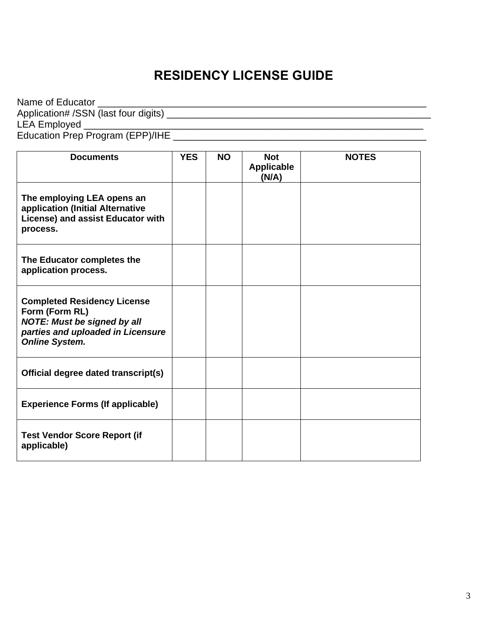### **RESIDENCY LICENSE GUIDE**

Name of Educator \_\_\_\_\_\_\_\_\_\_\_\_\_\_\_\_\_\_\_\_\_\_\_\_\_\_\_\_\_\_\_\_\_\_\_\_\_\_\_\_\_\_\_\_\_\_\_\_\_\_\_\_\_\_\_\_\_\_\_\_\_ Application# /SSN (last four digits) \_\_\_\_\_\_\_\_\_\_\_\_\_\_\_\_\_\_\_\_\_\_\_\_\_\_\_\_\_\_\_\_\_\_\_\_\_\_\_\_\_\_\_\_\_\_\_\_\_ LEA Employed \_\_\_\_\_\_\_\_\_\_\_\_\_\_\_\_\_\_\_\_\_\_\_\_\_\_\_\_\_\_\_\_\_\_\_\_\_\_\_\_\_\_\_\_\_\_\_\_\_\_\_\_\_\_\_\_\_\_\_\_\_\_\_ Education Prep Program (EPP)/IHE \_\_\_\_\_\_\_\_\_\_\_\_\_\_\_\_\_\_\_\_\_\_\_\_\_\_\_\_\_\_\_\_\_\_\_\_\_\_\_\_\_\_\_\_\_\_\_

| <b>Documents</b>                                                                                                                                         | <b>YES</b> | <b>NO</b> | <b>Not</b><br><b>Applicable</b><br>(N/A) | <b>NOTES</b> |
|----------------------------------------------------------------------------------------------------------------------------------------------------------|------------|-----------|------------------------------------------|--------------|
| The employing LEA opens an<br>application (Initial Alternative<br>License) and assist Educator with<br>process.                                          |            |           |                                          |              |
| The Educator completes the<br>application process.                                                                                                       |            |           |                                          |              |
| <b>Completed Residency License</b><br>Form (Form RL)<br><b>NOTE: Must be signed by all</b><br>parties and uploaded in Licensure<br><b>Online System.</b> |            |           |                                          |              |
| Official degree dated transcript(s)                                                                                                                      |            |           |                                          |              |
| <b>Experience Forms (If applicable)</b>                                                                                                                  |            |           |                                          |              |
| <b>Test Vendor Score Report (if</b><br>applicable)                                                                                                       |            |           |                                          |              |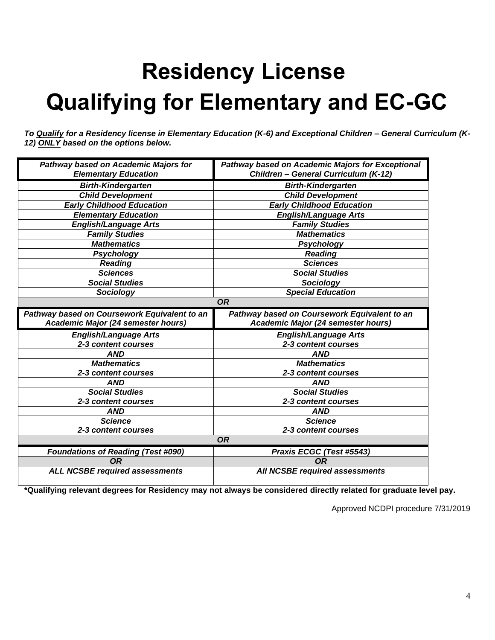# **Residency License Qualifying for Elementary and EC-GC**

*To Qualify for a Residency license in Elementary Education (K-6) and Exceptional Children – General Curriculum (K-12) ONLY based on the options below.*

| Pathway based on Academic Majors for               | Pathway based on Academic Majors for Exceptional |  |  |  |  |  |
|----------------------------------------------------|--------------------------------------------------|--|--|--|--|--|
| <b>Elementary Education</b>                        | Children - General Curriculum (K-12)             |  |  |  |  |  |
| <b>Birth-Kindergarten</b>                          | <b>Birth-Kindergarten</b>                        |  |  |  |  |  |
| <b>Child Development</b>                           | <b>Child Development</b>                         |  |  |  |  |  |
| <b>Early Childhood Education</b>                   | <b>Early Childhood Education</b>                 |  |  |  |  |  |
| <b>Elementary Education</b>                        | <b>English/Language Arts</b>                     |  |  |  |  |  |
| <b>English/Language Arts</b>                       | <b>Family Studies</b>                            |  |  |  |  |  |
| <b>Family Studies</b>                              | <b>Mathematics</b>                               |  |  |  |  |  |
| <b>Mathematics</b>                                 | <b>Psychology</b>                                |  |  |  |  |  |
| Psychology                                         | <b>Reading</b>                                   |  |  |  |  |  |
| <b>Reading</b>                                     | <b>Sciences</b>                                  |  |  |  |  |  |
| <b>Sciences</b>                                    | <b>Social Studies</b>                            |  |  |  |  |  |
| <b>Social Studies</b>                              | Sociology                                        |  |  |  |  |  |
| Sociology                                          | <b>Special Education</b>                         |  |  |  |  |  |
| <b>OR</b>                                          |                                                  |  |  |  |  |  |
| Pathway based on Coursework Equivalent to an       | Pathway based on Coursework Equivalent to an     |  |  |  |  |  |
|                                                    | Academic Major (24 semester hours)               |  |  |  |  |  |
| Academic Major (24 semester hours)                 |                                                  |  |  |  |  |  |
| <b>English/Language Arts</b>                       | <b>English/Language Arts</b>                     |  |  |  |  |  |
| 2-3 content courses                                | 2-3 content courses                              |  |  |  |  |  |
| <b>AND</b>                                         | <b>AND</b>                                       |  |  |  |  |  |
| <b>Mathematics</b>                                 | <b>Mathematics</b>                               |  |  |  |  |  |
| 2-3 content courses                                | 2-3 content courses                              |  |  |  |  |  |
| <b>AND</b>                                         | <b>AND</b>                                       |  |  |  |  |  |
| <b>Social Studies</b>                              | <b>Social Studies</b>                            |  |  |  |  |  |
| 2-3 content courses                                | 2-3 content courses                              |  |  |  |  |  |
| <b>AND</b>                                         | <b>AND</b>                                       |  |  |  |  |  |
| <b>Science</b>                                     | <b>Science</b>                                   |  |  |  |  |  |
| 2-3 content courses                                | 2-3 content courses                              |  |  |  |  |  |
|                                                    | <b>OR</b>                                        |  |  |  |  |  |
| <b>Foundations of Reading (Test #090)</b>          | Praxis ECGC (Test #5543)                         |  |  |  |  |  |
| <b>OR</b><br><b>ALL NCSBE required assessments</b> | <b>OR</b><br>All NCSBE required assessments      |  |  |  |  |  |

**\*Qualifying relevant degrees for Residency may not always be considered directly related for graduate level pay.**

Approved NCDPI procedure 7/31/2019